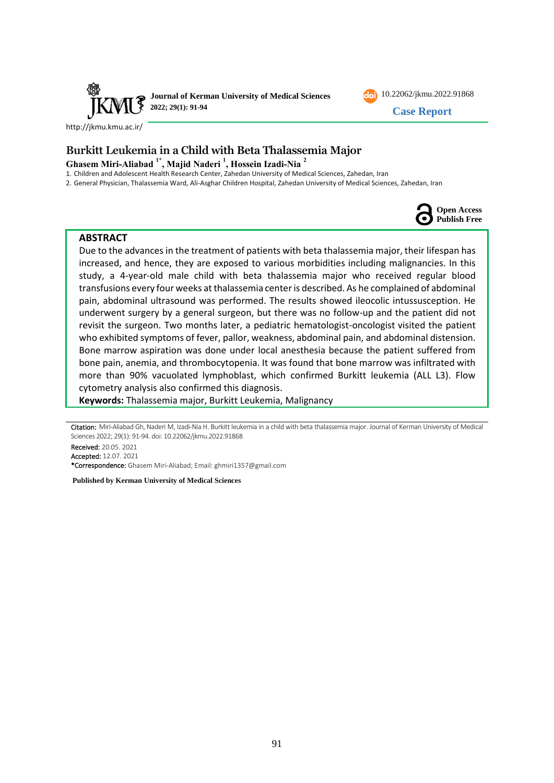



<http://jkmu.kmu.ac.ir/>

# **Burkitt Leukemia in a Child with Beta Thalassemia Major Ghasem Miri-Aliabad 1\*, Majid Naderi <sup>1</sup> , Hossein Izadi-Nia <sup>2</sup>**

1. Children and Adolescent Health Research Center, Zahedan University of Medical Sciences, Zahedan, Iran

2. General Physician, Thalassemia Ward, Ali-Asghar Children Hospital, Zahedan University of Medical Sciences, Zahedan, Iran



#### **ABSTRACT**

Due to the advances in the treatment of patients with beta thalassemia major, their lifespan has increased, and hence, they are exposed to various morbidities including malignancies. In this study, a 4-year-old male child with beta thalassemia major who received regular blood transfusions every four weeks at thalassemia center is described. As he complained of abdominal pain, abdominal ultrasound was performed. The results showed ileocolic intussusception. He underwent surgery by a general surgeon, but there was no follow-up and the patient did not revisit the surgeon. Two months later, a pediatric hematologist-oncologist visited the patient who exhibited symptoms of fever, pallor, weakness, abdominal pain, and abdominal distension. Bone marrow aspiration was done under local anesthesia because the patient suffered from bone pain, anemia, and thrombocytopenia. It was found that bone marrow was infiltrated with more than 90% vacuolated lymphoblast, which confirmed Burkitt leukemia (ALL L3). Flow cytometry analysis also confirmed this diagnosis.

**Keywords:** Thalassemia major, Burkitt Leukemia, Malignancy

Citation: Miri-Aliabad Gh, Naderi M, Izadi-Nia H. Burkitt leukemia in a child with beta thalassemia major. Journal of Kerman University of Medical Sciences 2022; 29(1): 91-94. doi: 10.22062/jkmu.2022.91868

Received: 20.05. 2021 Accepted: 12.07. 2021 \*Correspondence: Ghasem Miri-Aliabad; Email: ghmiri1357@gmail.com

**Published by Kerman University of Medical Sciences**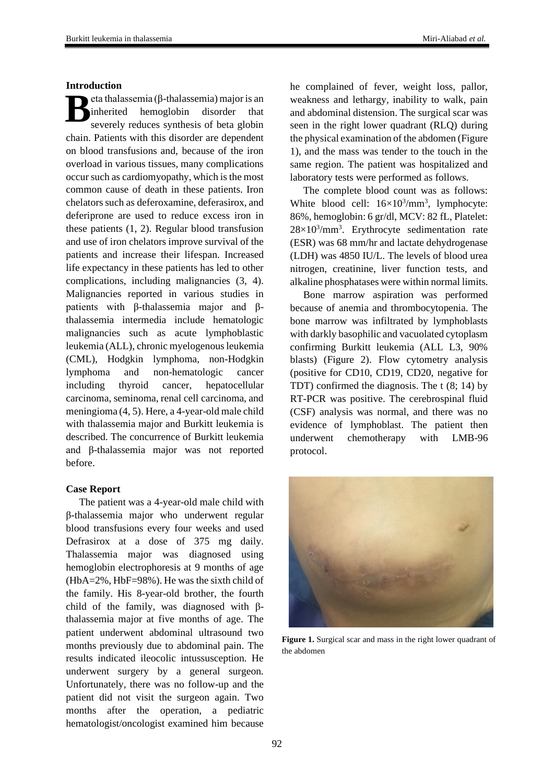#### **Introduction**

eta thalassemia (β-thalassemia) major is an inherited hemoglobin disorder that severely reduces synthesis of beta globin chain. Patients with this disorder are dependent on blood transfusions and, because of the iron overload in various tissues, many complications occur such as cardiomyopathy, which is the most common cause of death in these patients. Iron chelators such as deferoxamine, deferasirox, and deferiprone are used to reduce excess iron in these patients (1, 2). Regular blood transfusion and use of iron chelators improve survival of the patients and increase their lifespan. Increased life expectancy in these patients has led to other complications, including malignancies (3, 4). Malignancies reported in various studies in patients with β-thalassemia major and βthalassemia intermedia include hematologic malignancies such as acute lymphoblastic leukemia (ALL), chronic myelogenous leukemia (CML), Hodgkin lymphoma, non-Hodgkin lymphoma and non-hematologic cancer including thyroid cancer, hepatocellular carcinoma, seminoma, renal cell carcinoma, and meningioma (4, 5). Here, a 4-year-old male child with thalassemia major and Burkitt leukemia is described. The concurrence of Burkitt leukemia and β-thalassemia major was not reported before. **B**

### **Case Report**

The patient was a 4-year-old male child with β-thalassemia major who underwent regular blood transfusions every four weeks and used Defrasirox at a dose of 375 mg daily. Thalassemia major was diagnosed using hemoglobin electrophoresis at 9 months of age (HbA=2%, HbF=98%). He was the sixth child of the family. His 8-year-old brother, the fourth child of the family, was diagnosed with βthalassemia major at five months of age. The patient underwent abdominal ultrasound two months previously due to abdominal pain. The results indicated ileocolic intussusception. He underwent surgery by a general surgeon. Unfortunately, there was no follow-up and the patient did not visit the surgeon again. Two months after the operation, a pediatric hematologist/oncologist examined him because

he complained of fever, weight loss, pallor, weakness and lethargy, inability to walk, pain and abdominal distension. The surgical scar was seen in the right lower quadrant (RLQ) during the physical examination of the abdomen (Figure 1), and the mass was tender to the touch in the same region. The patient was hospitalized and laboratory tests were performed as follows.

The complete blood count was as follows: White blood cell:  $16\times10^{3}/\text{mm}^{3}$ , lymphocyte: 86%, hemoglobin: 6 gr/dl, MCV: 82 fL, Platelet:  $28\times10^{3}/\text{mm}^{3}$ . Erythrocyte sedimentation rate (ESR) was 68 mm/hr and lactate dehydrogenase (LDH) was 4850 IU/L. The levels of blood urea nitrogen, creatinine, liver function tests, and alkaline phosphatases were within normal limits.

Bone marrow aspiration was performed because of anemia and thrombocytopenia. The bone marrow was infiltrated by lymphoblasts with darkly basophilic and vacuolated cytoplasm confirming Burkitt leukemia (ALL L3, 90% blasts) (Figure 2). Flow cytometry analysis (positive for CD10, CD19, CD20, negative for TDT) confirmed the diagnosis. The t (8; 14) by RT-PCR was positive. The cerebrospinal fluid (CSF) analysis was normal, and there was no evidence of lymphoblast. The patient then underwent chemotherapy with LMB-96 protocol.



**Figure 1.** Surgical scar and mass in the right lower quadrant of the abdomen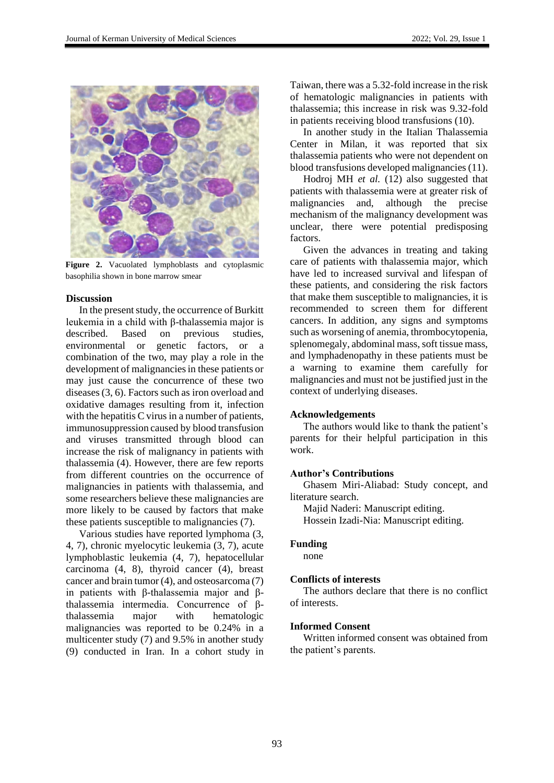

**Figure 2.** Vacuolated lymphoblasts and cytoplasmic basophilia shown in bone marrow smear

### **Discussion**

In the present study, the occurrence of Burkitt leukemia in a child with β-thalassemia major is described. Based on previous studies, environmental or genetic factors, or a combination of the two, may play a role in the development of malignancies in these patients or may just cause the concurrence of these two diseases (3, 6). Factors such as iron overload and oxidative damages resulting from it, infection with the hepatitis C virus in a number of patients, immunosuppression caused by blood transfusion and viruses transmitted through blood can increase the risk of malignancy in patients with thalassemia (4). However, there are few reports from different countries on the occurrence of malignancies in patients with thalassemia, and some researchers believe these malignancies are more likely to be caused by factors that make these patients susceptible to malignancies (7).

Various studies have reported lymphoma (3, 4, 7), chronic myelocytic leukemia (3, 7), acute lymphoblastic leukemia (4, 7), hepatocellular carcinoma (4, 8), thyroid cancer (4), breast cancer and brain tumor (4), and osteosarcoma (7) in patients with β-thalassemia major and βthalassemia intermedia. Concurrence of βthalassemia major with hematologic malignancies was reported to be 0.24% in a multicenter study (7) and 9.5% in another study (9) conducted in Iran. In a cohort study in Taiwan, there was a 5.32-fold increase in the risk of hematologic malignancies in patients with thalassemia; this increase in risk was 9.32-fold in patients receiving blood transfusions (10).

In another study in the Italian Thalassemia Center in Milan, it was reported that six thalassemia patients who were not dependent on blood transfusions developed malignancies (11).

Hodroj MH *et al.* (12) also suggested that patients with thalassemia were at greater risk of malignancies and, although the precise mechanism of the malignancy development was unclear, there were potential predisposing factors.

Given the advances in treating and taking care of patients with thalassemia major, which have led to increased survival and lifespan of these patients, and considering the risk factors that make them susceptible to malignancies, it is recommended to screen them for different cancers. In addition, any signs and symptoms such as worsening of anemia, thrombocytopenia, splenomegaly, abdominal mass, soft tissue mass, and lymphadenopathy in these patients must be a warning to examine them carefully for malignancies and must not be justified just in the context of underlying diseases.

### **Acknowledgements**

The authors would like to thank the patient's parents for their helpful participation in this work.

### **Author's Contributions**

Ghasem Miri-Aliabad: Study concept, and literature search.

Majid Naderi: Manuscript editing.

Hossein Izadi-Nia: Manuscript editing.

### **Funding**

none

### **Conflicts of interests**

The authors declare that there is no conflict of interests.

### **Informed Consent**

Written informed consent was obtained from the patient's parents.